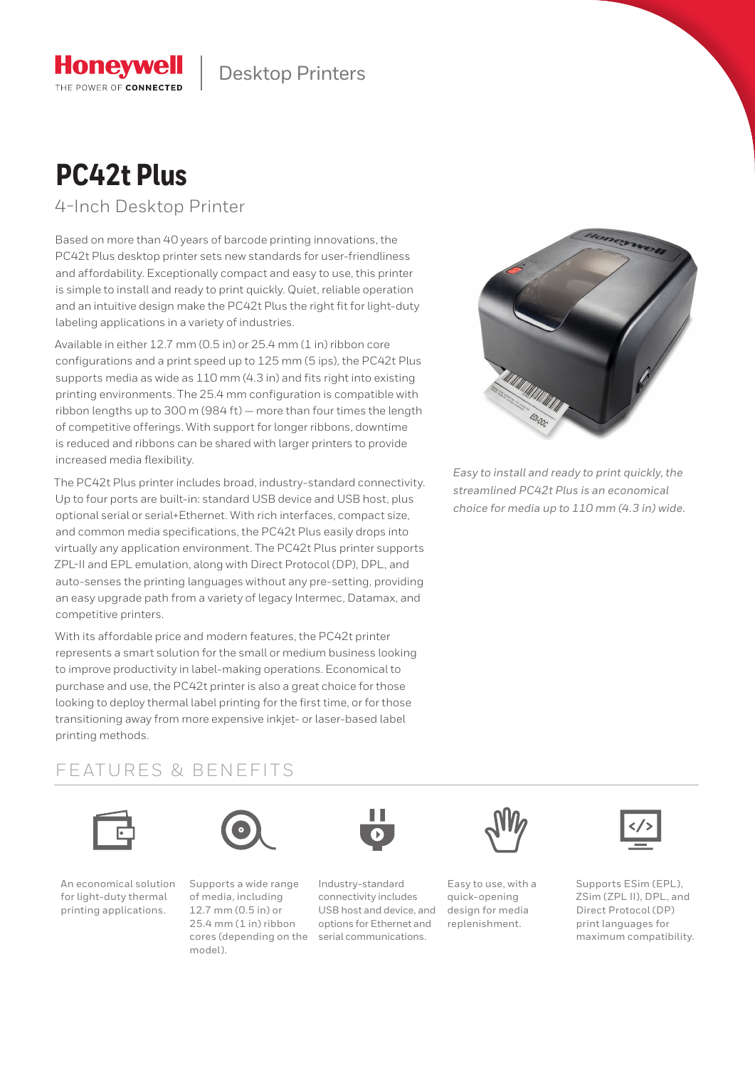

# **PC42t Plus**

**Honeywell** THE POWER OF CONNECTED

4-Inch Desktop Printer

Based on more than 40 years of barcode printing innovations, the PC42t Plus desktop printer sets new standards for user-friendliness and affordability. Exceptionally compact and easy to use, this printer is simple to install and ready to print quickly. Quiet, reliable operation and an intuitive design make the PC42t Plus the right fit for light-duty labeling applications in a variety of industries.

Available in either 12.7 mm (0.5 in) or 25.4 mm (1 in) ribbon core configurations and a print speed up to 125 mm (5 ips), the PC42t Plus supports media as wide as 110 mm (4.3 in) and fits right into existing printing environments. The 25.4 mm configuration is compatible with ribbon lengths up to 300 m (984 ft) — more than four times the length of competitive offerings. With support for longer ribbons, downtime is reduced and ribbons can be shared with larger printers to provide increased media flexibility.

The PC42t Plus printer includes broad, industry-standard connectivity. Up to four ports are built-in: standard USB device and USB host, plus optional serial or serial+Ethernet. With rich interfaces, compact size, and common media specifications, the PC42t Plus easily drops into virtually any application environment. The PC42t Plus printer supports ZPL-II and EPL emulation, along with Direct Protocol (DP), DPL, and auto-senses the printing languages without any pre-setting, providing an easy upgrade path from a variety of legacy Intermec, Datamax, and competitive printers.

With its affordable price and modern features, the PC42t printer represents a smart solution for the small or medium business looking to improve productivity in label-making operations. Economical to purchase and use, the PC42t printer is also a great choice for those looking to deploy thermal label printing for the first time, or for those transitioning away from more expensive inkjet- or laser-based label printing methods.



*Easy to install and ready to print quickly, the streamlined PC42t Plus is an economical choice for media up to 110 mm (4.3 in) wide.*

### FEATURES & BENEFITS





An economical solution for light-duty thermal printing applications.

Supports a wide range of media, including 12.7 mm (0.5 in) or 25.4 mm (1 in) ribbon cores (depending on the model).



Industry-standard connectivity includes USB host and device, and options for Ethernet and serial communications.



Easy to use, with a quick-opening design for media replenishment.



Supports ESim (EPL), ZSim (ZPL II), DPL, and Direct Protocol (DP) print languages for maximum compatibility.